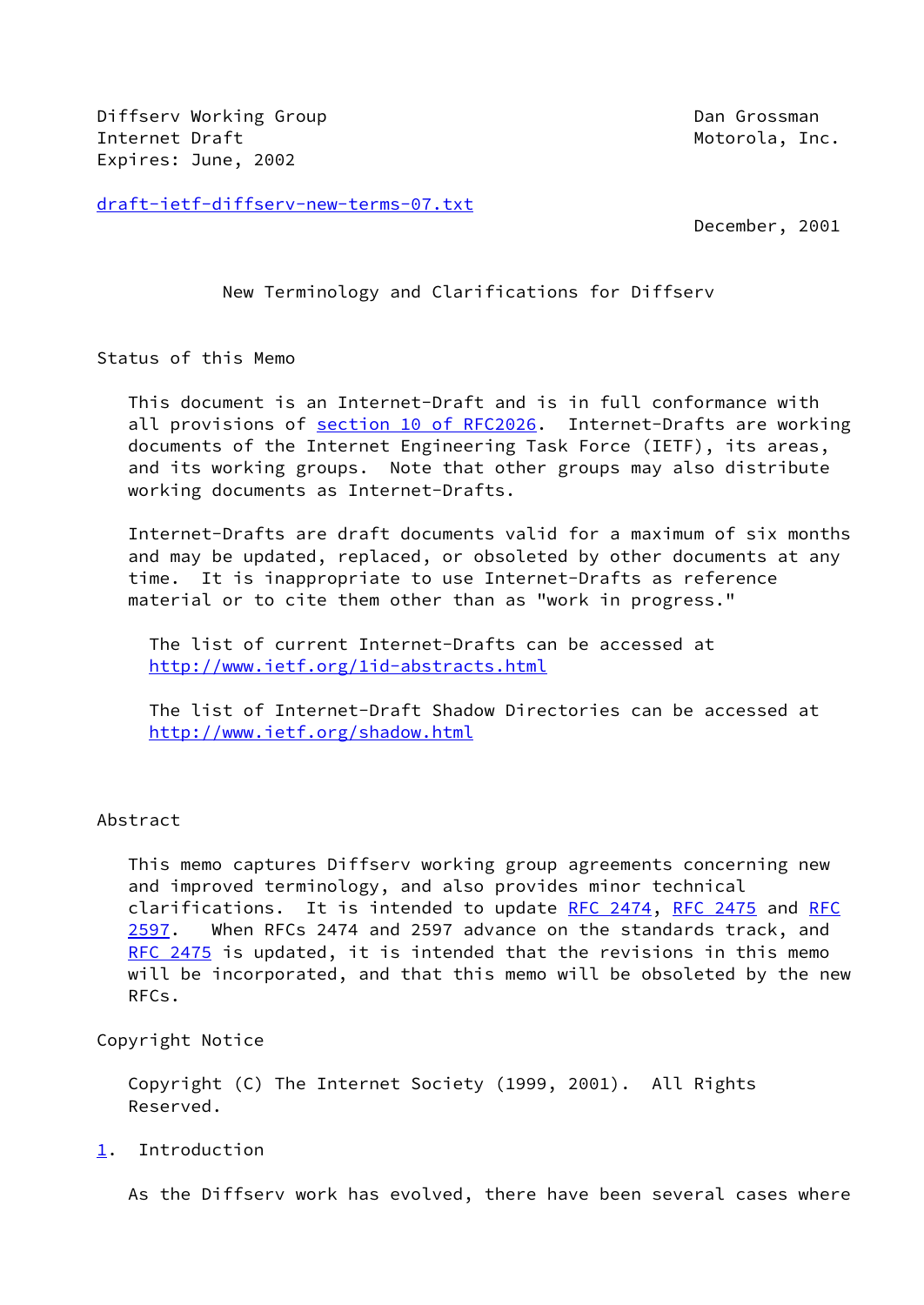Diffserv Working Group **Dan Group Dan Grossman** Internet Draft **Motorola**, Inc. Expires: June, 2002

[draft-ietf-diffserv-new-terms-07.txt](https://datatracker.ietf.org/doc/pdf/draft-ietf-diffserv-new-terms-07.txt)

December, 2001

New Terminology and Clarifications for Diffserv

Status of this Memo

 This document is an Internet-Draft and is in full conformance with all provisions of section [10 of RFC2026.](https://datatracker.ietf.org/doc/pdf/rfc2026#section-10) Internet-Drafts are working documents of the Internet Engineering Task Force (IETF), its areas, and its working groups. Note that other groups may also distribute working documents as Internet-Drafts.

 Internet-Drafts are draft documents valid for a maximum of six months and may be updated, replaced, or obsoleted by other documents at any time. It is inappropriate to use Internet-Drafts as reference material or to cite them other than as "work in progress."

 The list of current Internet-Drafts can be accessed at <http://www.ietf.org/1id-abstracts.html>

 The list of Internet-Draft Shadow Directories can be accessed at <http://www.ietf.org/shadow.html>

## Abstract

 This memo captures Diffserv working group agreements concerning new and improved terminology, and also provides minor technical clarifications. It is intended to update [RFC 2474](https://datatracker.ietf.org/doc/pdf/rfc2474), [RFC 2475](https://datatracker.ietf.org/doc/pdf/rfc2475) and [RFC](https://datatracker.ietf.org/doc/pdf/rfc2597) [2597](https://datatracker.ietf.org/doc/pdf/rfc2597). When RFCs 2474 and 2597 advance on the standards track, and [RFC 2475](https://datatracker.ietf.org/doc/pdf/rfc2475) is updated, it is intended that the revisions in this memo will be incorporated, and that this memo will be obsoleted by the new RFCs.

Copyright Notice

 Copyright (C) The Internet Society (1999, 2001). All Rights Reserved.

<span id="page-0-0"></span>[1](#page-0-0). Introduction

As the Diffserv work has evolved, there have been several cases where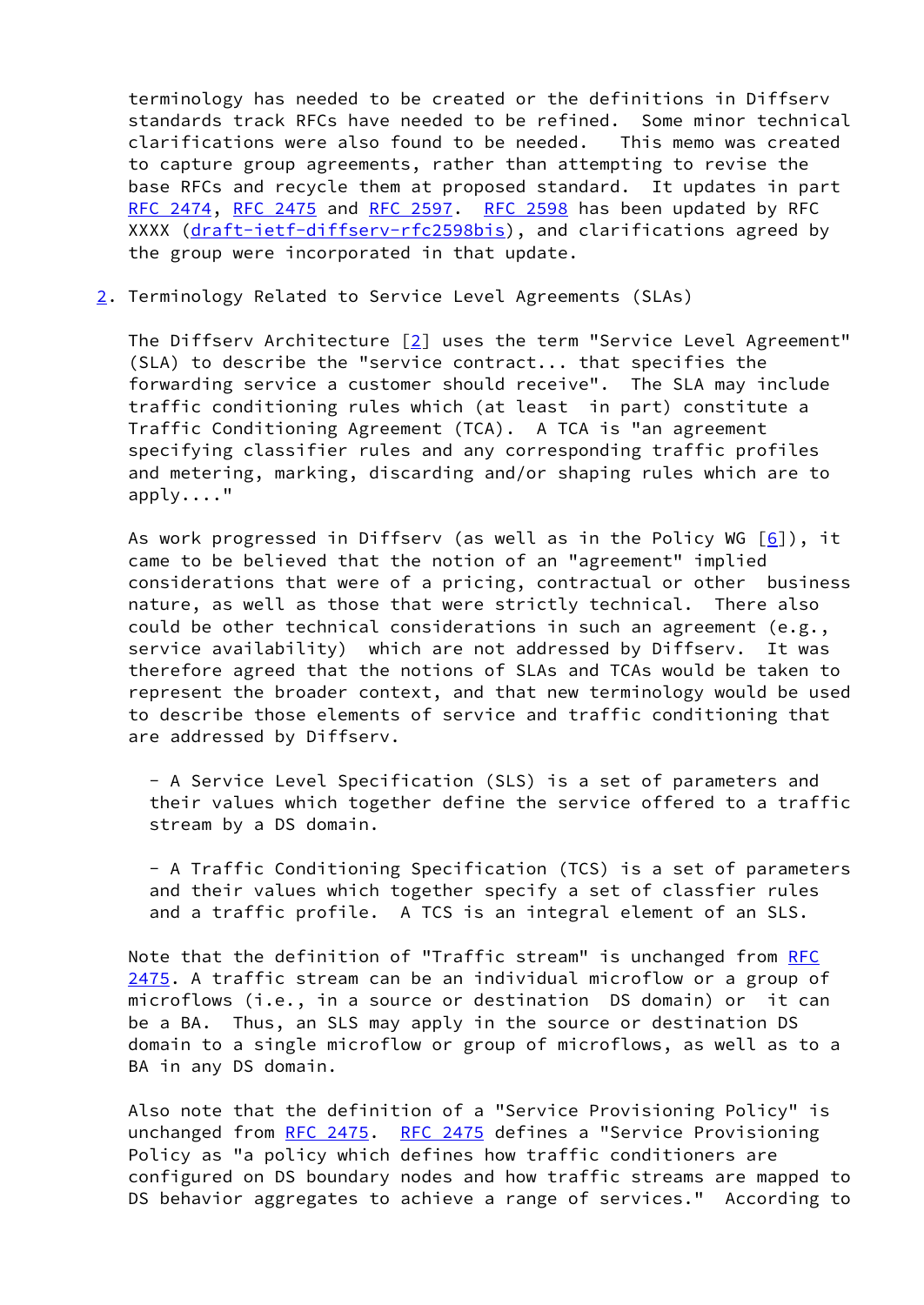terminology has needed to be created or the definitions in Diffserv standards track RFCs have needed to be refined. Some minor technical clarifications were also found to be needed. This memo was created to capture group agreements, rather than attempting to revise the base RFCs and recycle them at proposed standard. It updates in part [RFC 2474](https://datatracker.ietf.org/doc/pdf/rfc2474), [RFC 2475](https://datatracker.ietf.org/doc/pdf/rfc2475) and [RFC 2597.](https://datatracker.ietf.org/doc/pdf/rfc2597) [RFC 2598](https://datatracker.ietf.org/doc/pdf/rfc2598) has been updated by RFC XXXX [\(draft-ietf-diffserv-rfc2598bis](https://datatracker.ietf.org/doc/pdf/draft-ietf-diffserv-rfc2598bis)), and clarifications agreed by the group were incorporated in that update.

<span id="page-1-0"></span>[2](#page-1-0). Terminology Related to Service Level Agreements (SLAs)

The Diffserv Architecture  $\lceil 2 \rceil$  uses the term "Service Level Agreement" (SLA) to describe the "service contract... that specifies the forwarding service a customer should receive". The SLA may include traffic conditioning rules which (at least in part) constitute a Traffic Conditioning Agreement (TCA). A TCA is "an agreement specifying classifier rules and any corresponding traffic profiles and metering, marking, discarding and/or shaping rules which are to apply...."

As work progressed in Diffserv (as well as in the Policy WG  $[6]$  $[6]$ ), it came to be believed that the notion of an "agreement" implied considerations that were of a pricing, contractual or other business nature, as well as those that were strictly technical. There also could be other technical considerations in such an agreement (e.g., service availability) which are not addressed by Diffserv. It was therefore agreed that the notions of SLAs and TCAs would be taken to represent the broader context, and that new terminology would be used to describe those elements of service and traffic conditioning that are addressed by Diffserv.

 - A Service Level Specification (SLS) is a set of parameters and their values which together define the service offered to a traffic stream by a DS domain.

 - A Traffic Conditioning Specification (TCS) is a set of parameters and their values which together specify a set of classfier rules and a traffic profile. A TCS is an integral element of an SLS.

Note that the definition of "Traffic stream" is unchanged from [RFC](https://datatracker.ietf.org/doc/pdf/rfc2475) [2475](https://datatracker.ietf.org/doc/pdf/rfc2475). A traffic stream can be an individual microflow or a group of microflows (i.e., in a source or destination DS domain) or it can be a BA. Thus, an SLS may apply in the source or destination DS domain to a single microflow or group of microflows, as well as to a BA in any DS domain.

 Also note that the definition of a "Service Provisioning Policy" is unchanged from [RFC 2475.](https://datatracker.ietf.org/doc/pdf/rfc2475) [RFC 2475](https://datatracker.ietf.org/doc/pdf/rfc2475) defines a "Service Provisioning Policy as "a policy which defines how traffic conditioners are configured on DS boundary nodes and how traffic streams are mapped to DS behavior aggregates to achieve a range of services." According to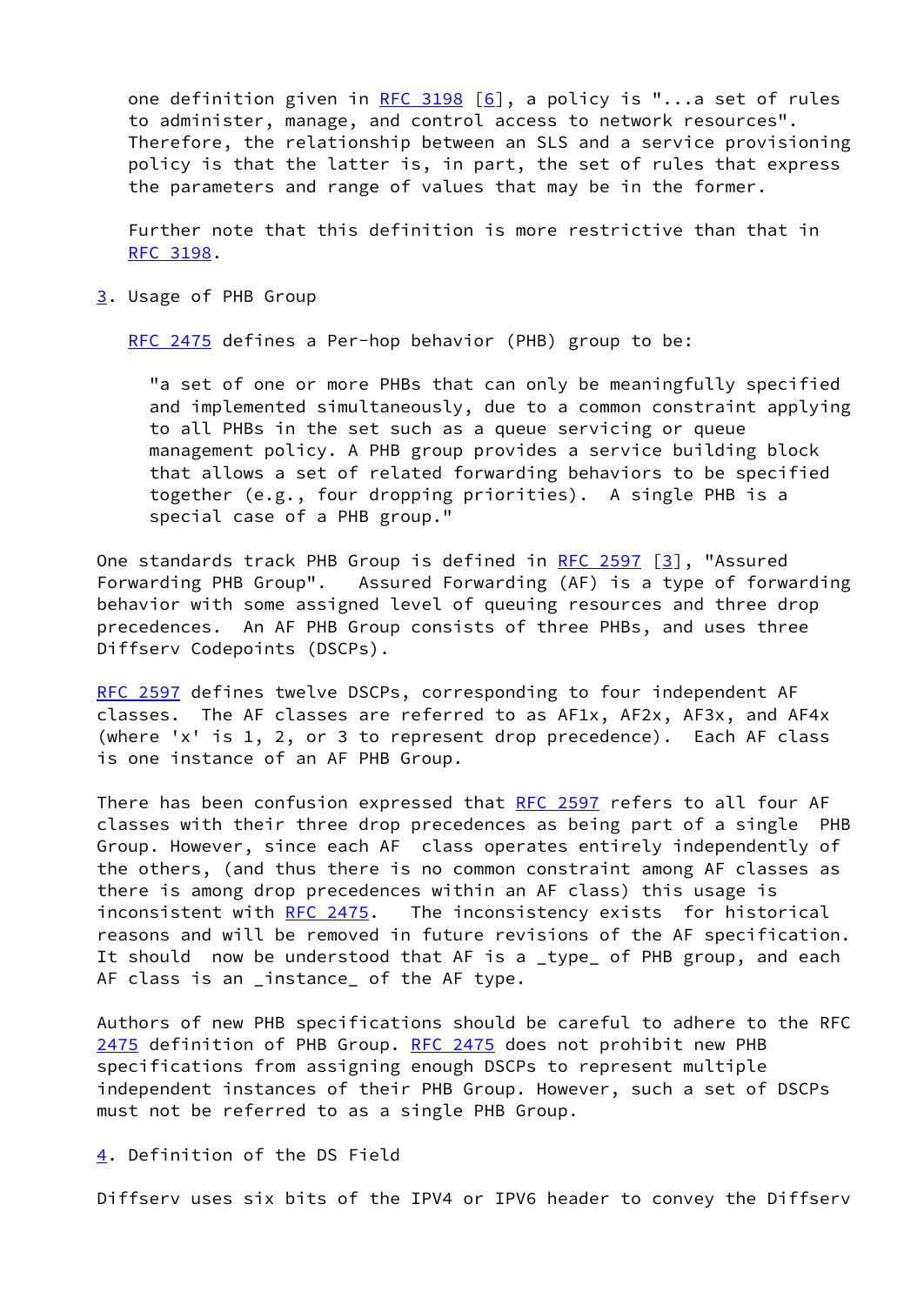one definition given in [RFC 3198](https://datatracker.ietf.org/doc/pdf/rfc3198)  $[6]$ , a policy is "...a set of rules to administer, manage, and control access to network resources". Therefore, the relationship between an SLS and a service provisioning policy is that the latter is, in part, the set of rules that express the parameters and range of values that may be in the former.

 Further note that this definition is more restrictive than that in [RFC 3198](https://datatracker.ietf.org/doc/pdf/rfc3198).

<span id="page-2-0"></span>[3](#page-2-0). Usage of PHB Group

[RFC 2475](https://datatracker.ietf.org/doc/pdf/rfc2475) defines a Per-hop behavior (PHB) group to be:

 "a set of one or more PHBs that can only be meaningfully specified and implemented simultaneously, due to a common constraint applying to all PHBs in the set such as a queue servicing or queue management policy. A PHB group provides a service building block that allows a set of related forwarding behaviors to be specified together (e.g., four dropping priorities). A single PHB is a special case of a PHB group."

One standards track PHB Group is defined in [RFC 2597](https://datatracker.ietf.org/doc/pdf/rfc2597) [[3\]](#page-7-2), "Assured Forwarding PHB Group". Assured Forwarding (AF) is a type of forwarding behavior with some assigned level of queuing resources and three drop precedences. An AF PHB Group consists of three PHBs, and uses three Diffserv Codepoints (DSCPs).

[RFC 2597](https://datatracker.ietf.org/doc/pdf/rfc2597) defines twelve DSCPs, corresponding to four independent AF classes. The AF classes are referred to as AF1x, AF2x, AF3x, and AF4x (where 'x' is 1, 2, or 3 to represent drop precedence). Each AF class is one instance of an AF PHB Group.

There has been confusion expressed that [RFC 2597](https://datatracker.ietf.org/doc/pdf/rfc2597) refers to all four AF classes with their three drop precedences as being part of a single PHB Group. However, since each AF class operates entirely independently of the others, (and thus there is no common constraint among AF classes as there is among drop precedences within an AF class) this usage is inconsistent with [RFC 2475.](https://datatracker.ietf.org/doc/pdf/rfc2475) The inconsistency exists for historical reasons and will be removed in future revisions of the AF specification. It should now be understood that AF is a \_type\_ of PHB group, and each AF class is an \_instance\_ of the AF type.

<span id="page-2-1"></span>Authors of new PHB specifications should be careful to adhere to the RFC [2475](#page-2-1) definition of PHB Group. [RFC 2475](https://datatracker.ietf.org/doc/pdf/rfc2475) does not prohibit new PHB specifications from assigning enough DSCPs to represent multiple independent instances of their PHB Group. However, such a set of DSCPs must not be referred to as a single PHB Group.

<span id="page-2-2"></span>[4](#page-2-2). Definition of the DS Field

Diffserv uses six bits of the IPV4 or IPV6 header to convey the Diffserv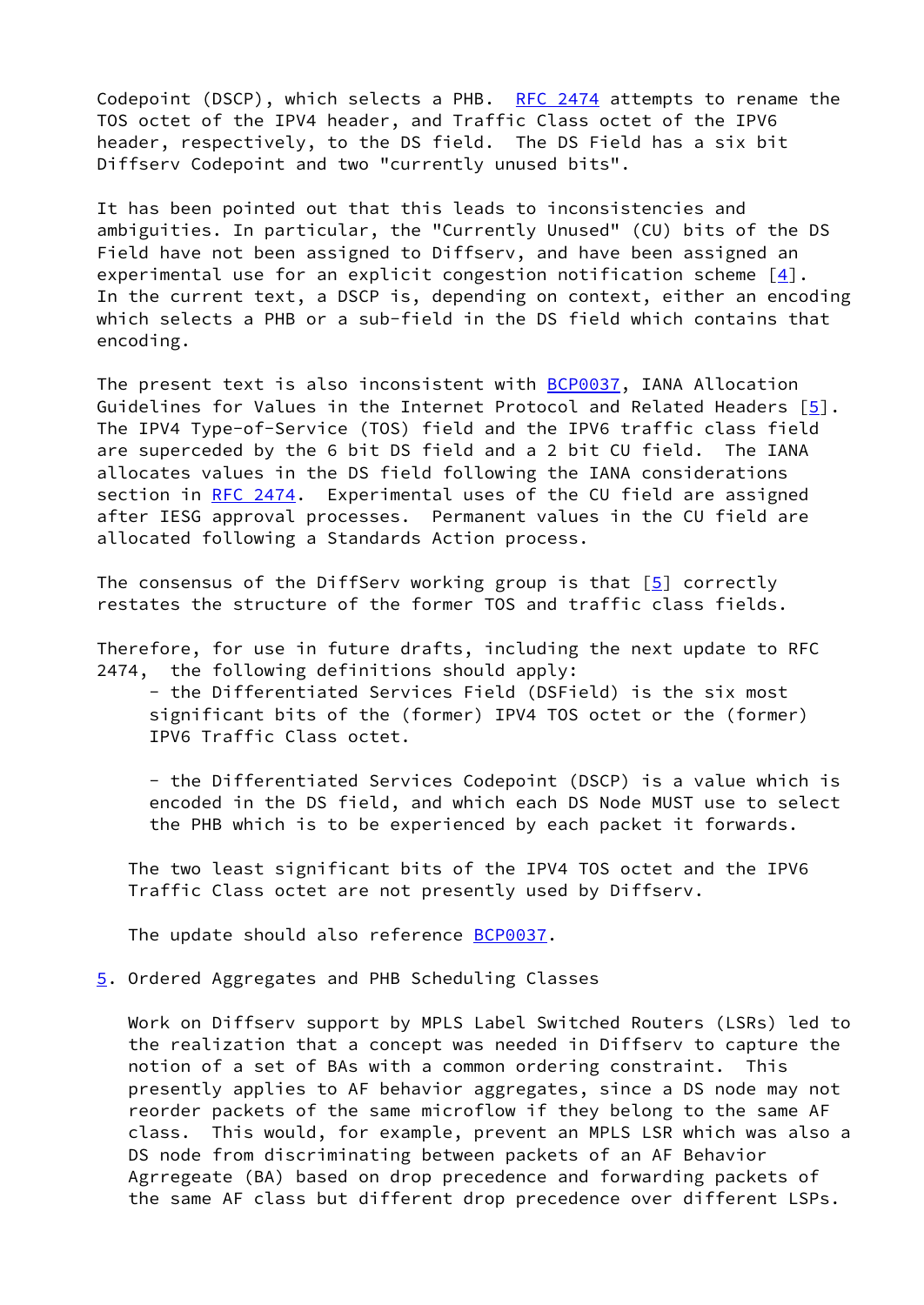Codepoint (DSCP), which selects a PHB. RFC  $2474$  attempts to rename the TOS octet of the IPV4 header, and Traffic Class octet of the IPV6 header, respectively, to the DS field. The DS Field has a six bit Diffserv Codepoint and two "currently unused bits".

It has been pointed out that this leads to inconsistencies and ambiguities. In particular, the "Currently Unused" (CU) bits of the DS Field have not been assigned to Diffserv, and have been assigned an experimental use for an explicit congestion notification scheme  $[4]$ . In the current text, a DSCP is, depending on context, either an encoding which selects a PHB or a sub-field in the DS field which contains that encoding.

The present text is also inconsistent with **BCP0037**, IANA Allocation Guidelines for Values in the Internet Protocol and Related Headers [\[5](#page-7-4)]. The IPV4 Type-of-Service (TOS) field and the IPV6 traffic class field are superceded by the 6 bit DS field and a 2 bit CU field. The IANA allocates values in the DS field following the IANA considerations section in [RFC 2474](https://datatracker.ietf.org/doc/pdf/rfc2474). Experimental uses of the CU field are assigned after IESG approval processes. Permanent values in the CU field are allocated following a Standards Action process.

The consensus of the DiffServ working group is that  $[5]$  correctly restates the structure of the former TOS and traffic class fields.

Therefore, for use in future drafts, including the next update to RFC 2474, the following definitions should apply:

 - the Differentiated Services Field (DSField) is the six most significant bits of the (former) IPV4 TOS octet or the (former) IPV6 Traffic Class octet.

 - the Differentiated Services Codepoint (DSCP) is a value which is encoded in the DS field, and which each DS Node MUST use to select the PHB which is to be experienced by each packet it forwards.

 The two least significant bits of the IPV4 TOS octet and the IPV6 Traffic Class octet are not presently used by Diffserv.

The update should also reference **BCP0037**.

<span id="page-3-0"></span>[5](#page-3-0). Ordered Aggregates and PHB Scheduling Classes

 Work on Diffserv support by MPLS Label Switched Routers (LSRs) led to the realization that a concept was needed in Diffserv to capture the notion of a set of BAs with a common ordering constraint. This presently applies to AF behavior aggregates, since a DS node may not reorder packets of the same microflow if they belong to the same AF class. This would, for example, prevent an MPLS LSR which was also a DS node from discriminating between packets of an AF Behavior Agrregeate (BA) based on drop precedence and forwarding packets of the same AF class but different drop precedence over different LSPs.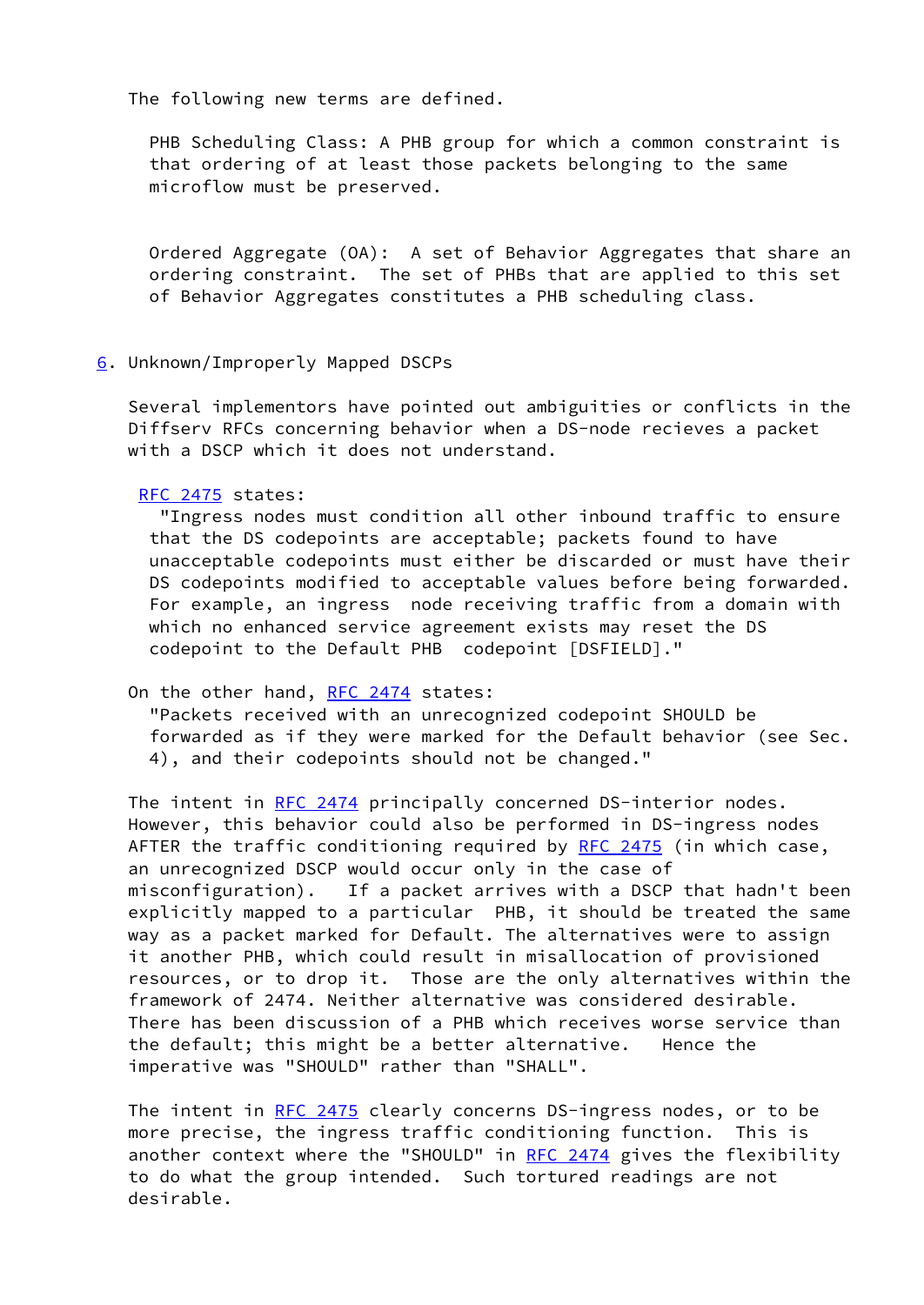The following new terms are defined.

 PHB Scheduling Class: A PHB group for which a common constraint is that ordering of at least those packets belonging to the same microflow must be preserved.

 Ordered Aggregate (OA): A set of Behavior Aggregates that share an ordering constraint. The set of PHBs that are applied to this set of Behavior Aggregates constitutes a PHB scheduling class.

<span id="page-4-0"></span>[6](#page-4-0). Unknown/Improperly Mapped DSCPs

 Several implementors have pointed out ambiguities or conflicts in the Diffserv RFCs concerning behavior when a DS-node recieves a packet with a DSCP which it does not understand.

[RFC 2475](https://datatracker.ietf.org/doc/pdf/rfc2475) states:

 "Ingress nodes must condition all other inbound traffic to ensure that the DS codepoints are acceptable; packets found to have unacceptable codepoints must either be discarded or must have their DS codepoints modified to acceptable values before being forwarded. For example, an ingress node receiving traffic from a domain with which no enhanced service agreement exists may reset the DS codepoint to the Default PHB codepoint [DSFIELD]."

On the other hand, [RFC 2474](https://datatracker.ietf.org/doc/pdf/rfc2474) states:

 "Packets received with an unrecognized codepoint SHOULD be forwarded as if they were marked for the Default behavior (see Sec. 4), and their codepoints should not be changed."

The intent in [RFC 2474](https://datatracker.ietf.org/doc/pdf/rfc2474) principally concerned DS-interior nodes. However, this behavior could also be performed in DS-ingress nodes AFTER the traffic conditioning required by [RFC 2475](https://datatracker.ietf.org/doc/pdf/rfc2475) (in which case, an unrecognized DSCP would occur only in the case of misconfiguration). If a packet arrives with a DSCP that hadn't been explicitly mapped to a particular PHB, it should be treated the same way as a packet marked for Default. The alternatives were to assign it another PHB, which could result in misallocation of provisioned resources, or to drop it. Those are the only alternatives within the framework of 2474. Neither alternative was considered desirable. There has been discussion of a PHB which receives worse service than the default; this might be a better alternative. Hence the imperative was "SHOULD" rather than "SHALL".

The intent in [RFC 2475](https://datatracker.ietf.org/doc/pdf/rfc2475) clearly concerns DS-ingress nodes, or to be more precise, the ingress traffic conditioning function. This is another context where the "SHOULD" in [RFC 2474](https://datatracker.ietf.org/doc/pdf/rfc2474) gives the flexibility to do what the group intended. Such tortured readings are not desirable.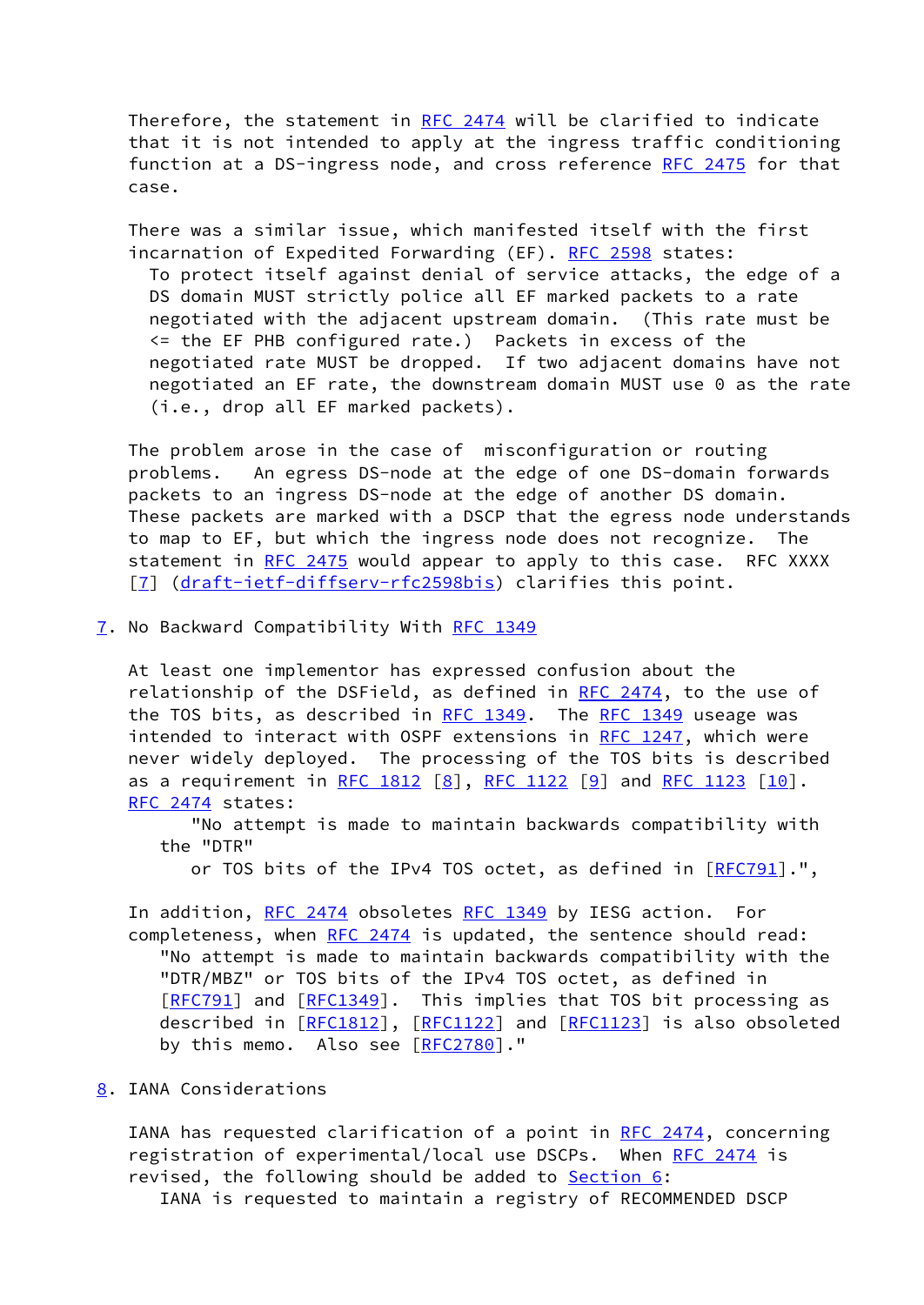Therefore, the statement in [RFC 2474](https://datatracker.ietf.org/doc/pdf/rfc2474) will be clarified to indicate that it is not intended to apply at the ingress traffic conditioning function at a DS-ingress node, and cross reference [RFC 2475](https://datatracker.ietf.org/doc/pdf/rfc2475) for that case.

 There was a similar issue, which manifested itself with the first incarnation of Expedited Forwarding (EF). [RFC 2598](https://datatracker.ietf.org/doc/pdf/rfc2598) states: To protect itself against denial of service attacks, the edge of a DS domain MUST strictly police all EF marked packets to a rate negotiated with the adjacent upstream domain. (This rate must be <= the EF PHB configured rate.) Packets in excess of the negotiated rate MUST be dropped. If two adjacent domains have not negotiated an EF rate, the downstream domain MUST use 0 as the rate (i.e., drop all EF marked packets).

 The problem arose in the case of misconfiguration or routing problems. An egress DS-node at the edge of one DS-domain forwards packets to an ingress DS-node at the edge of another DS domain. These packets are marked with a DSCP that the egress node understands to map to EF, but which the ingress node does not recognize. The statement in [RFC 2475](https://datatracker.ietf.org/doc/pdf/rfc2475) would appear to apply to this case. RFC XXXX [\[7](#page-7-5)] [\(draft-ietf-diffserv-rfc2598bis](https://datatracker.ietf.org/doc/pdf/draft-ietf-diffserv-rfc2598bis)) clarifies this point.

<span id="page-5-0"></span>[7](#page-5-0). No Backward Compatibility With [RFC 1349](https://datatracker.ietf.org/doc/pdf/rfc1349)

 At least one implementor has expressed confusion about the relationship of the DSField, as defined in [RFC 2474,](https://datatracker.ietf.org/doc/pdf/rfc2474) to the use of the TOS bits, as described in [RFC 1349](https://datatracker.ietf.org/doc/pdf/rfc1349). The [RFC 1349](https://datatracker.ietf.org/doc/pdf/rfc1349) useage was intended to interact with OSPF extensions in [RFC 1247](https://datatracker.ietf.org/doc/pdf/rfc1247), which were never widely deployed. The processing of the TOS bits is described as a requirement in [RFC 1812](https://datatracker.ietf.org/doc/pdf/rfc1812)  $[8]$ , [RFC 1122](https://datatracker.ietf.org/doc/pdf/rfc1122)  $[9]$  $[9]$  and [RFC 1123](https://datatracker.ietf.org/doc/pdf/rfc1123)  $[10]$ . [RFC 2474](https://datatracker.ietf.org/doc/pdf/rfc2474) states:

 "No attempt is made to maintain backwards compatibility with the "DTR"

or TOS bits of the IPv4 TOS octet, as defined in [\[RFC791](https://datatracker.ietf.org/doc/pdf/rfc791)].",

In addition, [RFC 2474](https://datatracker.ietf.org/doc/pdf/rfc2474) obsoletes [RFC 1349](https://datatracker.ietf.org/doc/pdf/rfc1349) by IESG action. For completeness, when [RFC 2474](https://datatracker.ietf.org/doc/pdf/rfc2474) is updated, the sentence should read: "No attempt is made to maintain backwards compatibility with the "DTR/MBZ" or TOS bits of the IPv4 TOS octet, as defined in [[RFC791](https://datatracker.ietf.org/doc/pdf/rfc791)] and [\[RFC1349](https://datatracker.ietf.org/doc/pdf/rfc1349)]. This implies that TOS bit processing as described in [\[RFC1812](https://datatracker.ietf.org/doc/pdf/rfc1812)], [[RFC1122\]](https://datatracker.ietf.org/doc/pdf/rfc1122) and [\[RFC1123](https://datatracker.ietf.org/doc/pdf/rfc1123)] is also obsoleted by this memo. Also see [[RFC2780\]](https://datatracker.ietf.org/doc/pdf/rfc2780)."

## <span id="page-5-1"></span>[8](#page-5-1). IANA Considerations

IANA has requested clarification of a point in [RFC 2474,](https://datatracker.ietf.org/doc/pdf/rfc2474) concerning registration of experimental/local use DSCPs. When [RFC 2474](https://datatracker.ietf.org/doc/pdf/rfc2474) is revised, the following should be added to **Section 6:** IANA is requested to maintain a registry of RECOMMENDED DSCP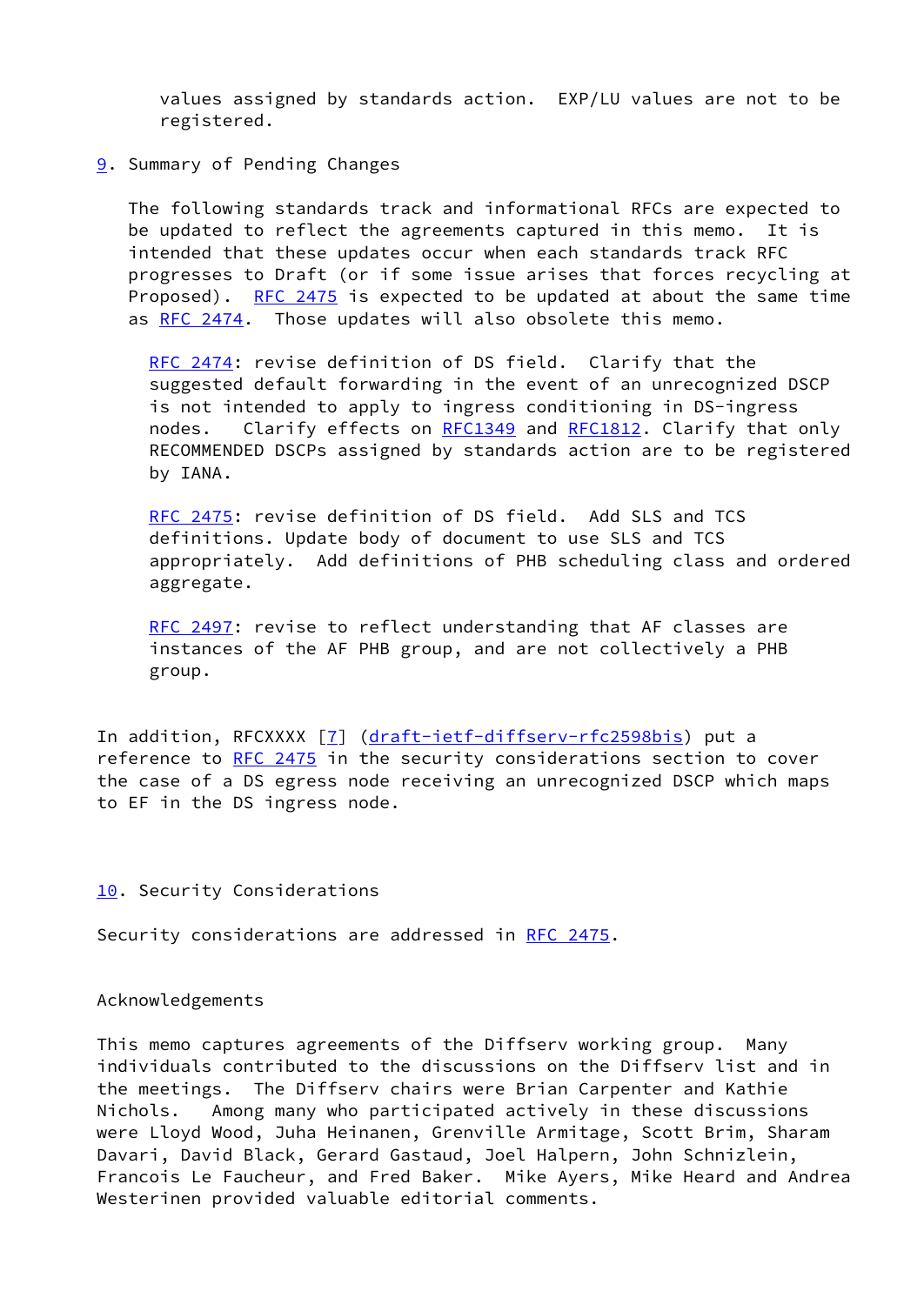values assigned by standards action. EXP/LU values are not to be registered.

<span id="page-6-0"></span>[9](#page-6-0). Summary of Pending Changes

 The following standards track and informational RFCs are expected to be updated to reflect the agreements captured in this memo. It is intended that these updates occur when each standards track RFC progresses to Draft (or if some issue arises that forces recycling at Proposed). [RFC 2475](https://datatracker.ietf.org/doc/pdf/rfc2475) is expected to be updated at about the same time as [RFC 2474.](https://datatracker.ietf.org/doc/pdf/rfc2474) Those updates will also obsolete this memo.

 [RFC 2474](https://datatracker.ietf.org/doc/pdf/rfc2474): revise definition of DS field. Clarify that the suggested default forwarding in the event of an unrecognized DSCP is not intended to apply to ingress conditioning in DS-ingress nodes. Clarify effects on [RFC1349](https://datatracker.ietf.org/doc/pdf/rfc1349) and [RFC1812](https://datatracker.ietf.org/doc/pdf/rfc1812). Clarify that only RECOMMENDED DSCPs assigned by standards action are to be registered by IANA.

 [RFC 2475](https://datatracker.ietf.org/doc/pdf/rfc2475): revise definition of DS field. Add SLS and TCS definitions. Update body of document to use SLS and TCS appropriately. Add definitions of PHB scheduling class and ordered aggregate.

[RFC 2497](https://datatracker.ietf.org/doc/pdf/rfc2497): revise to reflect understanding that AF classes are instances of the AF PHB group, and are not collectively a PHB group.

In addition, RFCXXXX [[7\]](#page-7-5) ([draft-ietf-diffserv-rfc2598bis](https://datatracker.ietf.org/doc/pdf/draft-ietf-diffserv-rfc2598bis)) put a reference to [RFC 2475](https://datatracker.ietf.org/doc/pdf/rfc2475) in the security considerations section to cover the case of a DS egress node receiving an unrecognized DSCP which maps to EF in the DS ingress node.

<span id="page-6-1"></span>[10.](#page-6-1) Security Considerations

Security considerations are addressed in [RFC 2475](https://datatracker.ietf.org/doc/pdf/rfc2475).

Acknowledgements

This memo captures agreements of the Diffserv working group. Many individuals contributed to the discussions on the Diffserv list and in the meetings. The Diffserv chairs were Brian Carpenter and Kathie Nichols. Among many who participated actively in these discussions were Lloyd Wood, Juha Heinanen, Grenville Armitage, Scott Brim, Sharam Davari, David Black, Gerard Gastaud, Joel Halpern, John Schnizlein, Francois Le Faucheur, and Fred Baker. Mike Ayers, Mike Heard and Andrea Westerinen provided valuable editorial comments.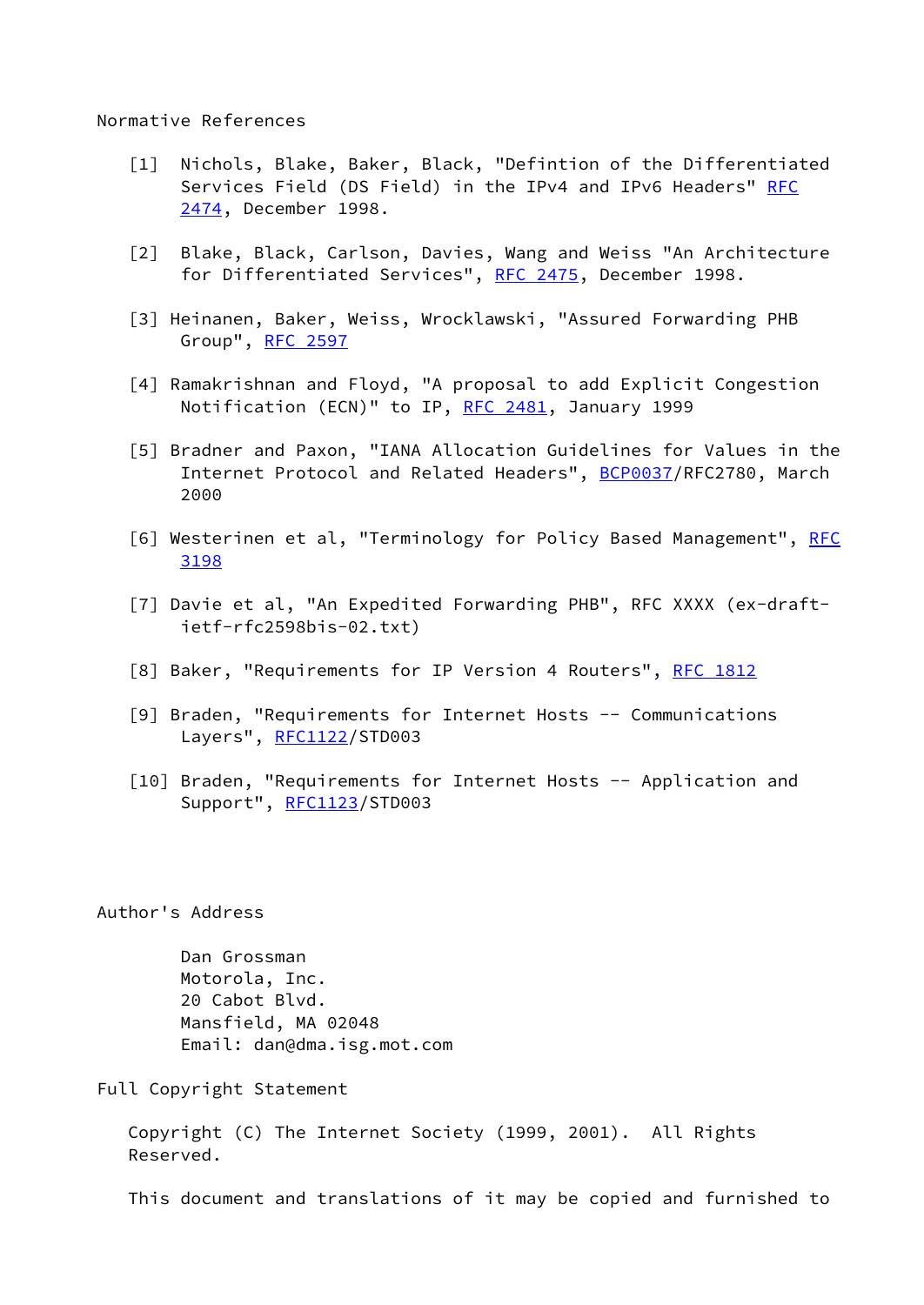Normative References

- [1] Nichols, Blake, Baker, Black, "Defintion of the Differentiated Services Field (DS Field) in the IPv4 and IPv6 Headers" [RFC](https://datatracker.ietf.org/doc/pdf/rfc2474) [2474](https://datatracker.ietf.org/doc/pdf/rfc2474), December 1998.
- <span id="page-7-0"></span> [2] Blake, Black, Carlson, Davies, Wang and Weiss "An Architecture for Differentiated Services", [RFC 2475,](https://datatracker.ietf.org/doc/pdf/rfc2475) December 1998.
- <span id="page-7-2"></span> [3] Heinanen, Baker, Weiss, Wrocklawski, "Assured Forwarding PHB Group", [RFC 2597](https://datatracker.ietf.org/doc/pdf/rfc2597)
- <span id="page-7-3"></span> [4] Ramakrishnan and Floyd, "A proposal to add Explicit Congestion Notification (ECN)" to IP, [RFC 2481](https://datatracker.ietf.org/doc/pdf/rfc2481), January 1999
- <span id="page-7-4"></span> [5] Bradner and Paxon, "IANA Allocation Guidelines for Values in the Internet Protocol and Related Headers", [BCP0037](https://datatracker.ietf.org/doc/pdf/bcp0037)/RFC2780, March 2000
- <span id="page-7-1"></span>[6] Westerinen et al, "Terminology for Policy Based Management", [RFC](https://datatracker.ietf.org/doc/pdf/rfc3198) [3198](https://datatracker.ietf.org/doc/pdf/rfc3198)
- <span id="page-7-5"></span>[7] Davie et al, "An Expedited Forwarding PHB", RFC XXXX (ex-draftietf-rfc2598bis-02.txt)
- <span id="page-7-6"></span>[8] Baker, "Requirements for IP Version 4 Routers", [RFC 1812](https://datatracker.ietf.org/doc/pdf/rfc1812)
- <span id="page-7-7"></span> [9] Braden, "Requirements for Internet Hosts -- Communications Layers", [RFC1122](https://datatracker.ietf.org/doc/pdf/rfc1122)/STD003
- <span id="page-7-8"></span>[10] Braden, "Requirements for Internet Hosts -- Application and Support", [RFC1123](https://datatracker.ietf.org/doc/pdf/rfc1123)/STD003

Author's Address

 Dan Grossman Motorola, Inc. 20 Cabot Blvd. Mansfield, MA 02048 Email: dan@dma.isg.mot.com

Full Copyright Statement

 Copyright (C) The Internet Society (1999, 2001). All Rights Reserved.

This document and translations of it may be copied and furnished to